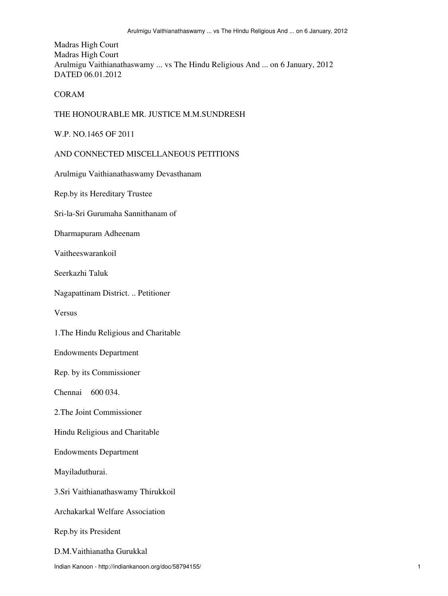# Madras High Court Madras High Court Arulmigu Vaithianathaswamy ... vs The Hindu Religious And ... on 6 January, 2012 DATED 06.01.2012

### CORAM

### THE HONOURABLE MR. JUSTICE M.M.SUNDRESH

#### W.P. NO.1465 OF 2011

# AND CONNECTED MISCELLANEOUS PETITIONS

Arulmigu Vaithianathaswamy Devasthanam

Rep.by its Hereditary Trustee

Sri-la-Sri Gurumaha Sannithanam of

Dharmapuram Adheenam

Vaitheeswarankoil

Seerkazhi Taluk

Nagapattinam District. .. Petitioner

Versus

1.The Hindu Religious and Charitable

Endowments Department

Rep. by its Commissioner

Chennai 600 034.

2.The Joint Commissioner

Hindu Religious and Charitable

Endowments Department

Mayiladuthurai.

3.Sri Vaithianathaswamy Thirukkoil

Archakarkal Welfare Association

Rep.by its President

D.M.Vaithianatha Gurukkal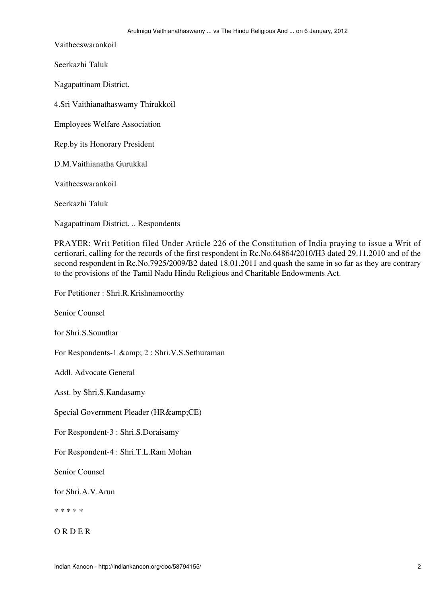Vaitheeswarankoil

Seerkazhi Taluk

Nagapattinam District.

4.Sri Vaithianathaswamy Thirukkoil

Employees Welfare Association

Rep.by its Honorary President

D.M.Vaithianatha Gurukkal

Vaitheeswarankoil

Seerkazhi Taluk

Nagapattinam District. .. Respondents

PRAYER: Writ Petition filed Under Article 226 of the Constitution of India praying to issue a Writ of certiorari, calling for the records of the first respondent in Rc.No.64864/2010/H3 dated 29.11.2010 and of the second respondent in Rc.No.7925/2009/B2 dated 18.01.2011 and quash the same in so far as they are contrary to the provisions of the Tamil Nadu Hindu Religious and Charitable Endowments Act.

For Petitioner : Shri.R.Krishnamoorthy

Senior Counsel

for Shri.S.Sounthar

For Respondents-1 & 2 : Shri.V.S.Sethuraman

Addl. Advocate General

Asst. by Shri.S.Kandasamy

Special Government Pleader (HR&CE)

For Respondent-3 : Shri.S.Doraisamy

For Respondent-4 : Shri.T.L.Ram Mohan

Senior Counsel

for Shri.A.V.Arun

\* \* \* \* \*

O R D E R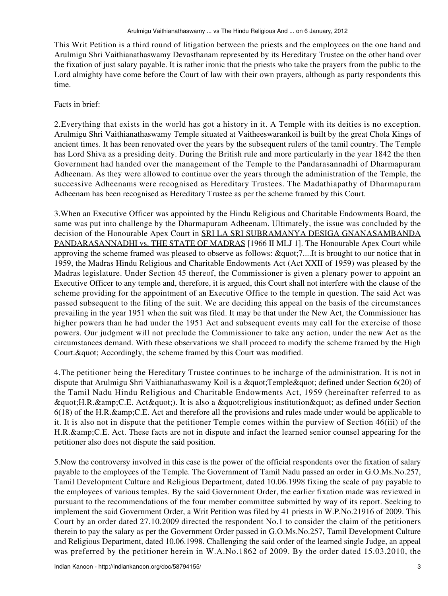This Writ Petition is a third round of litigation between the priests and the employees on the one hand and Arulmigu Shri Vaithianathaswamy Devasthanam represented by its Hereditary Trustee on the other hand over the fixation of just salary payable. It is rather ironic that the priests who take the prayers from the public to the Lord almighty have come before the Court of law with their own prayers, although as party respondents this time.

### Facts in brief:

2.Everything that exists in the world has got a history in it. A Temple with its deities is no exception. Arulmigu Shri Vaithianathaswamy Temple situated at Vaitheeswarankoil is built by the great Chola Kings of ancient times. It has been renovated over the years by the subsequent rulers of the tamil country. The Temple has Lord Shiva as a presiding deity. During the British rule and more particularly in the year 1842 the then Government had handed over the management of the Temple to the Pandarasannadhi of Dharmapuram Adheenam. As they were allowed to continue over the years through the administration of the Temple, the successive Adheenams were recognised as Hereditary Trustees. The Madathiapathy of Dharmapuram Adheenam has been recognised as Hereditary Trustee as per the scheme framed by this Court.

3.When an Executive Officer was appointed by the Hindu Religious and Charitable Endowments Board, the same was put into challenge by the Dharmapuram Adheenam. Ultimately, the issue was concluded by the decision of the Honourable Apex Court in SRI LA SRI SUBRAMANYA DESIGA GNANASAMBANDA PANDARASANNADHI vs. THE STATE OF MADRAS [1966 II MLJ 1]. The Honourable Apex Court while approving the scheme framed was pleased to observe as follows:  $\&$  quot;7....It is brought to our notice that in 1959, the Madras Hindu Religious and Charitable Endowments Act (Act XXII of 1959) was pleased by the Madras legislature. Under Section 45 thereof, the Commissioner is given a plenary power to appoint an Executive Officer to any temple and, therefore, it is argued, this Court shall not interfere with the clause of the scheme providing for the appointment of an Executive Office to the temple in question. The said Act was passed subsequent to the filing of the suit. We are deciding this appeal on the basis of the circumstances prevailing in the year 1951 when the suit was filed. It may be that under the New Act, the Commissioner has higher powers than he had under the 1951 Act and subsequent events may call for the exercise of those powers. Our judgment will not preclude the Commissioner to take any action, under the new Act as the circumstances demand. With these observations we shall proceed to modify the scheme framed by the High Court. & quot; Accordingly, the scheme framed by this Court was modified.

4.The petitioner being the Hereditary Trustee continues to be incharge of the administration. It is not in dispute that Arulmigu Shri Vaithianathaswamy Koil is a " Temple " defined under Section 6(20) of the Tamil Nadu Hindu Religious and Charitable Endowments Act, 1959 (hereinafter referred to as " H.R.& C.E. Act" ). It is also a " religious institution " as defined under Section 6(18) of the H.R.& C.E. Act and therefore all the provisions and rules made under would be applicable to it. It is also not in dispute that the petitioner Temple comes within the purview of Section 46(iii) of the H.R.& C.E. Act. These facts are not in dispute and infact the learned senior counsel appearing for the petitioner also does not dispute the said position.

5.Now the controversy involved in this case is the power of the official respondents over the fixation of salary payable to the employees of the Temple. The Government of Tamil Nadu passed an order in G.O.Ms.No.257, Tamil Development Culture and Religious Department, dated 10.06.1998 fixing the scale of pay payable to the employees of various temples. By the said Government Order, the earlier fixation made was reviewed in pursuant to the recommendations of the four member committee submitted by way of its report. Seeking to implement the said Government Order, a Writ Petition was filed by 41 priests in W.P.No.21916 of 2009. This Court by an order dated 27.10.2009 directed the respondent No.1 to consider the claim of the petitioners therein to pay the salary as per the Government Order passed in G.O.Ms.No.257, Tamil Development Culture and Religious Department, dated 10.06.1998. Challenging the said order of the learned single Judge, an appeal was preferred by the petitioner herein in W.A.No.1862 of 2009. By the order dated 15.03.2010, the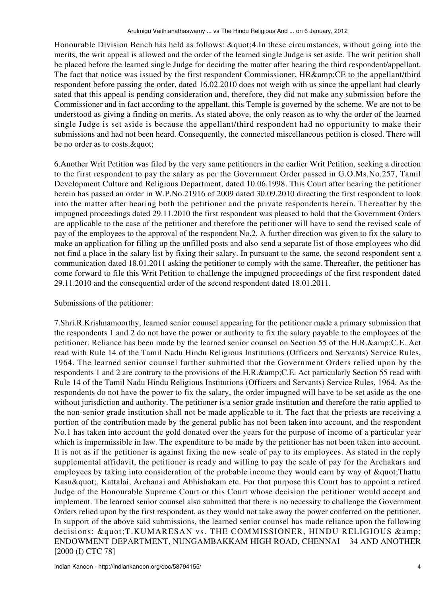Honourable Division Bench has held as follows:  $\&$  quot; 4.In these circumstances, without going into the merits, the writ appeal is allowed and the order of the learned single Judge is set aside. The writ petition shall be placed before the learned single Judge for deciding the matter after hearing the third respondent/appellant. The fact that notice was issued by the first respondent Commissioner, HR&CE to the appellant/third respondent before passing the order, dated 16.02.2010 does not weigh with us since the appellant had clearly sated that this appeal is pending consideration and, therefore, they did not make any submission before the Commissioner and in fact according to the appellant, this Temple is governed by the scheme. We are not to be understood as giving a finding on merits. As stated above, the only reason as to why the order of the learned single Judge is set aside is because the appellant/third respondent had no opportunity to make their submissions and had not been heard. Consequently, the connected miscellaneous petition is closed. There will be no order as to costs. & quot;

6.Another Writ Petition was filed by the very same petitioners in the earlier Writ Petition, seeking a direction to the first respondent to pay the salary as per the Government Order passed in G.O.Ms.No.257, Tamil Development Culture and Religious Department, dated 10.06.1998. This Court after hearing the petitioner herein has passed an order in W.P.No.21916 of 2009 dated 30.09.2010 directing the first respondent to look into the matter after hearing both the petitioner and the private respondents herein. Thereafter by the impugned proceedings dated 29.11.2010 the first respondent was pleased to hold that the Government Orders are applicable to the case of the petitioner and therefore the petitioner will have to send the revised scale of pay of the employees to the approval of the respondent No.2. A further direction was given to fix the salary to make an application for filling up the unfilled posts and also send a separate list of those employees who did not find a place in the salary list by fixing their salary. In pursuant to the same, the second respondent sent a communication dated 18.01.2011 asking the petitioner to comply with the same. Thereafter, the petitioner has come forward to file this Writ Petition to challenge the impugned proceedings of the first respondent dated 29.11.2010 and the consequential order of the second respondent dated 18.01.2011.

### Submissions of the petitioner:

7.Shri.R.Krishnamoorthy, learned senior counsel appearing for the petitioner made a primary submission that the respondents 1 and 2 do not have the power or authority to fix the salary payable to the employees of the petitioner. Reliance has been made by the learned senior counsel on Section 55 of the H.R.&C.E. Act read with Rule 14 of the Tamil Nadu Hindu Religious Institutions (Officers and Servants) Service Rules, 1964. The learned senior counsel further submitted that the Government Orders relied upon by the respondents 1 and 2 are contrary to the provisions of the H.R.&C.E. Act particularly Section 55 read with Rule 14 of the Tamil Nadu Hindu Religious Institutions (Officers and Servants) Service Rules, 1964. As the respondents do not have the power to fix the salary, the order impugned will have to be set aside as the one without jurisdiction and authority. The petitioner is a senior grade institution and therefore the ratio applied to the non-senior grade institution shall not be made applicable to it. The fact that the priests are receiving a portion of the contribution made by the general public has not been taken into account, and the respondent No.1 has taken into account the gold donated over the years for the purpose of income of a particular year which is impermissible in law. The expenditure to be made by the petitioner has not been taken into account. It is not as if the petitioner is against fixing the new scale of pay to its employees. As stated in the reply supplemental affidavit, the petitioner is ready and willing to pay the scale of pay for the Archakars and employees by taking into consideration of the probable income they would earn by way of " Thattu Kasu & quot;, Kattalai, Archanai and Abhishakam etc. For that purpose this Court has to appoint a retired Judge of the Honourable Supreme Court or this Court whose decision the petitioner would accept and implement. The learned senior counsel also submitted that there is no necessity to challenge the Government Orders relied upon by the first respondent, as they would not take away the power conferred on the petitioner. In support of the above said submissions, the learned senior counsel has made reliance upon the following decisions: "T.KUMARESAN vs. THE COMMISSIONER, HINDU RELIGIOUS & ENDOWMENT DEPARTMENT, NUNGAMBAKKAM HIGH ROAD, CHENNAI 34 AND ANOTHER [2000 (I) CTC 78]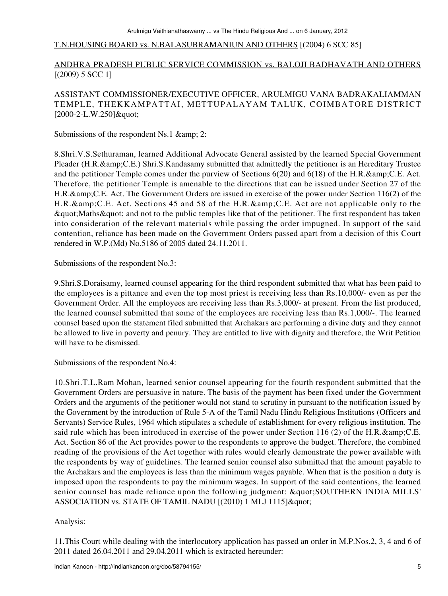### T.N.HOUSING BOARD vs. N.BALASUBRAMANIUN AND OTHERS [(2004) 6 SCC 85]

# ANDHRA PRADESH PUBLIC SERVICE COMMISSION vs. BALOJI BADHAVATH AND OTHERS [(2009) 5 SCC 1]

# ASSISTANT COMMISSIONER/EXECUTIVE OFFICER, ARULMIGU VANA BADRAKALIAMMAN TEMPLE, THEKKAMPATTAI, METTUPALAYAM TALUK, COIMBATORE DISTRICT  $[2000-2-L.W.250]$ "

Submissions of the respondent Ns.1 & 2:

8.Shri.V.S.Sethuraman, learned Additional Advocate General assisted by the learned Special Government Pleader (H.R.&C.E.) Shri.S.Kandasamy submitted that admittedly the petitioner is an Hereditary Trustee and the petitioner Temple comes under the purview of Sections  $6(20)$  and  $6(18)$  of the H.R.&C.E. Act. Therefore, the petitioner Temple is amenable to the directions that can be issued under Section 27 of the H.R.& C.E. Act. The Government Orders are issued in exercise of the power under Section 116(2) of the H.R. & amp; C.E. Act. Sections 45 and 58 of the H.R. & amp; C.E. Act are not applicable only to the " Maths " and not to the public temples like that of the petitioner. The first respondent has taken into consideration of the relevant materials while passing the order impugned. In support of the said contention, reliance has been made on the Government Orders passed apart from a decision of this Court rendered in W.P.(Md) No.5186 of 2005 dated 24.11.2011.

Submissions of the respondent No.3:

9.Shri.S.Doraisamy, learned counsel appearing for the third respondent submitted that what has been paid to the employees is a pittance and even the top most priest is receiving less than Rs.10,000/- even as per the Government Order. All the employees are receiving less than Rs.3,000/- at present. From the list produced, the learned counsel submitted that some of the employees are receiving less than Rs.1,000/-. The learned counsel based upon the statement filed submitted that Archakars are performing a divine duty and they cannot be allowed to live in poverty and penury. They are entitled to live with dignity and therefore, the Writ Petition will have to be dismissed.

Submissions of the respondent No.4:

10.Shri.T.L.Ram Mohan, learned senior counsel appearing for the fourth respondent submitted that the Government Orders are persuasive in nature. The basis of the payment has been fixed under the Government Orders and the arguments of the petitioner would not stand to scrutiny in pursuant to the notification issued by the Government by the introduction of Rule 5-A of the Tamil Nadu Hindu Religious Institutions (Officers and Servants) Service Rules, 1964 which stipulates a schedule of establishment for every religious institution. The said rule which has been introduced in exercise of the power under Section 116 (2) of the H.R. $\&;C.E.$ Act. Section 86 of the Act provides power to the respondents to approve the budget. Therefore, the combined reading of the provisions of the Act together with rules would clearly demonstrate the power available with the respondents by way of guidelines. The learned senior counsel also submitted that the amount payable to the Archakars and the employees is less than the minimum wages payable. When that is the position a duty is imposed upon the respondents to pay the minimum wages. In support of the said contentions, the learned senior counsel has made reliance upon the following judgment: "SOUTHERN INDIA MILLS' ASSOCIATION vs. STATE OF TAMIL NADU [(2010) 1 MLJ 1115] "

Analysis:

11.This Court while dealing with the interlocutory application has passed an order in M.P.Nos.2, 3, 4 and 6 of 2011 dated 26.04.2011 and 29.04.2011 which is extracted hereunder: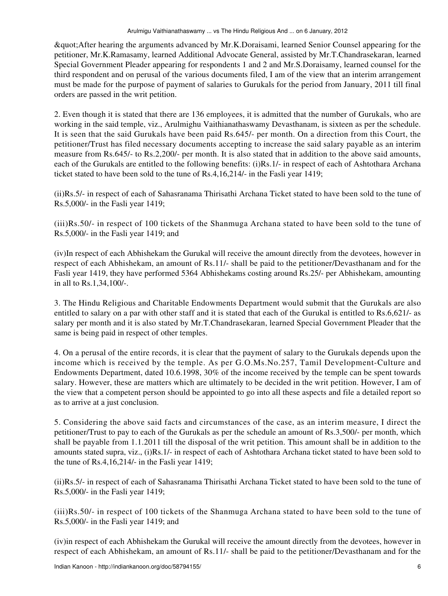"After hearing the arguments advanced by Mr.K.Doraisami, learned Senior Counsel appearing for the petitioner, Mr.K.Ramasamy, learned Additional Advocate General, assisted by Mr.T.Chandrasekaran, learned Special Government Pleader appearing for respondents 1 and 2 and Mr.S.Doraisamy, learned counsel for the third respondent and on perusal of the various documents filed, I am of the view that an interim arrangement must be made for the purpose of payment of salaries to Gurukals for the period from January, 2011 till final orders are passed in the writ petition.

2. Even though it is stated that there are 136 employees, it is admitted that the number of Gurukals, who are working in the said temple, viz., Arulmighu Vaithianathaswamy Devasthanam, is sixteen as per the schedule. It is seen that the said Gurukals have been paid Rs.645/- per month. On a direction from this Court, the petitioner/Trust has filed necessary documents accepting to increase the said salary payable as an interim measure from Rs.645/- to Rs.2,200/- per month. It is also stated that in addition to the above said amounts, each of the Gurukals are entitled to the following benefits: (i)Rs.1/- in respect of each of Ashtothara Archana ticket stated to have been sold to the tune of Rs.4,16,214/- in the Fasli year 1419;

(ii)Rs.5/- in respect of each of Sahasranama Thirisathi Archana Ticket stated to have been sold to the tune of Rs.5,000/- in the Fasli year 1419;

(iii)Rs.50/- in respect of 100 tickets of the Shanmuga Archana stated to have been sold to the tune of Rs.5,000/- in the Fasli year 1419; and

(iv)In respect of each Abhishekam the Gurukal will receive the amount directly from the devotees, however in respect of each Abhishekam, an amount of Rs.11/- shall be paid to the petitioner/Devasthanam and for the Fasli year 1419, they have performed 5364 Abhishekams costing around Rs.25/- per Abhishekam, amounting in all to Rs.1,34,100/-.

3. The Hindu Religious and Charitable Endowments Department would submit that the Gurukals are also entitled to salary on a par with other staff and it is stated that each of the Gurukal is entitled to Rs.6,621/- as salary per month and it is also stated by Mr.T.Chandrasekaran, learned Special Government Pleader that the same is being paid in respect of other temples.

4. On a perusal of the entire records, it is clear that the payment of salary to the Gurukals depends upon the income which is received by the temple. As per G.O.Ms.No.257, Tamil Development-Culture and Endowments Department, dated 10.6.1998, 30% of the income received by the temple can be spent towards salary. However, these are matters which are ultimately to be decided in the writ petition. However, I am of the view that a competent person should be appointed to go into all these aspects and file a detailed report so as to arrive at a just conclusion.

5. Considering the above said facts and circumstances of the case, as an interim measure, I direct the petitioner/Trust to pay to each of the Gurukals as per the schedule an amount of Rs.3,500/- per month, which shall be payable from 1.1.2011 till the disposal of the writ petition. This amount shall be in addition to the amounts stated supra, viz., (i)Rs.1/- in respect of each of Ashtothara Archana ticket stated to have been sold to the tune of Rs.4,16,214/- in the Fasli year 1419;

(ii)Rs.5/- in respect of each of Sahasranama Thirisathi Archana Ticket stated to have been sold to the tune of Rs.5,000/- in the Fasli year 1419;

(iii)Rs.50/- in respect of 100 tickets of the Shanmuga Archana stated to have been sold to the tune of Rs.5,000/- in the Fasli year 1419; and

(iv)in respect of each Abhishekam the Gurukal will receive the amount directly from the devotees, however in respect of each Abhishekam, an amount of Rs.11/- shall be paid to the petitioner/Devasthanam and for the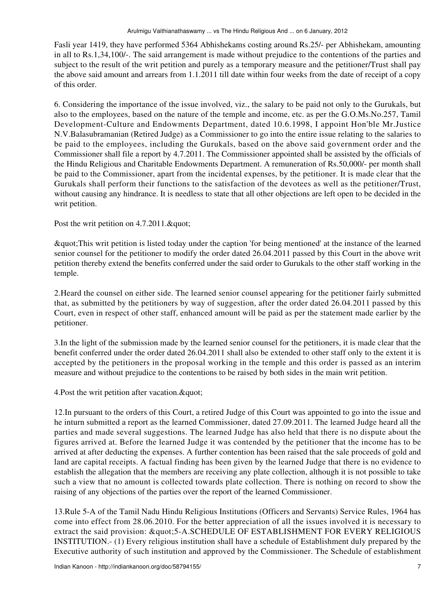Fasli year 1419, they have performed 5364 Abhishekams costing around Rs.25/- per Abhishekam, amounting in all to Rs.1,34,100/-. The said arrangement is made without prejudice to the contentions of the parties and subject to the result of the writ petition and purely as a temporary measure and the petitioner/Trust shall pay the above said amount and arrears from 1.1.2011 till date within four weeks from the date of receipt of a copy of this order.

6. Considering the importance of the issue involved, viz., the salary to be paid not only to the Gurukals, but also to the employees, based on the nature of the temple and income, etc. as per the G.O.Ms.No.257, Tamil Development-Culture and Endowments Department, dated 10.6.1998, I appoint Hon'ble Mr.Justice N.V.Balasubramanian (Retired Judge) as a Commissioner to go into the entire issue relating to the salaries to be paid to the employees, including the Gurukals, based on the above said government order and the Commissioner shall file a report by 4.7.2011. The Commissioner appointed shall be assisted by the officials of the Hindu Religious and Charitable Endowments Department. A remuneration of Rs.50,000/- per month shall be paid to the Commissioner, apart from the incidental expenses, by the petitioner. It is made clear that the Gurukals shall perform their functions to the satisfaction of the devotees as well as the petitioner/Trust, without causing any hindrance. It is needless to state that all other objections are left open to be decided in the writ petition.

Post the writ petition on 4.7.2011."

"This writ petition is listed today under the caption 'for being mentioned' at the instance of the learned senior counsel for the petitioner to modify the order dated 26.04.2011 passed by this Court in the above writ petition thereby extend the benefits conferred under the said order to Gurukals to the other staff working in the temple.

2.Heard the counsel on either side. The learned senior counsel appearing for the petitioner fairly submitted that, as submitted by the petitioners by way of suggestion, after the order dated 26.04.2011 passed by this Court, even in respect of other staff, enhanced amount will be paid as per the statement made earlier by the petitioner.

3.In the light of the submission made by the learned senior counsel for the petitioners, it is made clear that the benefit conferred under the order dated 26.04.2011 shall also be extended to other staff only to the extent it is accepted by the petitioners in the proposal working in the temple and this order is passed as an interim measure and without prejudice to the contentions to be raised by both sides in the main writ petition.

4. Post the writ petition after vacation. & quot;

12.In pursuant to the orders of this Court, a retired Judge of this Court was appointed to go into the issue and he inturn submitted a report as the learned Commissioner, dated 27.09.2011. The learned Judge heard all the parties and made several suggestions. The learned Judge has also held that there is no dispute about the figures arrived at. Before the learned Judge it was contended by the petitioner that the income has to be arrived at after deducting the expenses. A further contention has been raised that the sale proceeds of gold and land are capital receipts. A factual finding has been given by the learned Judge that there is no evidence to establish the allegation that the members are receiving any plate collection, although it is not possible to take such a view that no amount is collected towards plate collection. There is nothing on record to show the raising of any objections of the parties over the report of the learned Commissioner.

13.Rule 5-A of the Tamil Nadu Hindu Religious Institutions (Officers and Servants) Service Rules, 1964 has come into effect from 28.06.2010. For the better appreciation of all the issues involved it is necessary to extract the said provision: "5-A.SCHEDULE OF ESTABLISHMENT FOR EVERY RELIGIOUS INSTITUTION.- (1) Every religious institution shall have a schedule of Establishment duly prepared by the Executive authority of such institution and approved by the Commissioner. The Schedule of establishment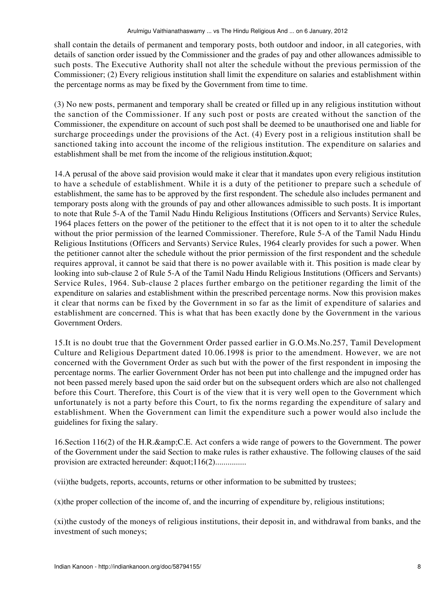shall contain the details of permanent and temporary posts, both outdoor and indoor, in all categories, with details of sanction order issued by the Commissioner and the grades of pay and other allowances admissible to such posts. The Executive Authority shall not alter the schedule without the previous permission of the Commissioner; (2) Every religious institution shall limit the expenditure on salaries and establishment within the percentage norms as may be fixed by the Government from time to time.

(3) No new posts, permanent and temporary shall be created or filled up in any religious institution without the sanction of the Commissioner. If any such post or posts are created without the sanction of the Commissioner, the expenditure on account of such post shall be deemed to be unauthorised one and liable for surcharge proceedings under the provisions of the Act. (4) Every post in a religious institution shall be sanctioned taking into account the income of the religious institution. The expenditure on salaries and establishment shall be met from the income of the religious institution. & quot;

14.A perusal of the above said provision would make it clear that it mandates upon every religious institution to have a schedule of establishment. While it is a duty of the petitioner to prepare such a schedule of establishment, the same has to be approved by the first respondent. The schedule also includes permanent and temporary posts along with the grounds of pay and other allowances admissible to such posts. It is important to note that Rule 5-A of the Tamil Nadu Hindu Religious Institutions (Officers and Servants) Service Rules, 1964 places fetters on the power of the petitioner to the effect that it is not open to it to alter the schedule without the prior permission of the learned Commissioner. Therefore, Rule 5-A of the Tamil Nadu Hindu Religious Institutions (Officers and Servants) Service Rules, 1964 clearly provides for such a power. When the petitioner cannot alter the schedule without the prior permission of the first respondent and the schedule requires approval, it cannot be said that there is no power available with it. This position is made clear by looking into sub-clause 2 of Rule 5-A of the Tamil Nadu Hindu Religious Institutions (Officers and Servants) Service Rules, 1964. Sub-clause 2 places further embargo on the petitioner regarding the limit of the expenditure on salaries and establishment within the prescribed percentage norms. Now this provision makes it clear that norms can be fixed by the Government in so far as the limit of expenditure of salaries and establishment are concerned. This is what that has been exactly done by the Government in the various Government Orders.

15.It is no doubt true that the Government Order passed earlier in G.O.Ms.No.257, Tamil Development Culture and Religious Department dated 10.06.1998 is prior to the amendment. However, we are not concerned with the Government Order as such but with the power of the first respondent in imposing the percentage norms. The earlier Government Order has not been put into challenge and the impugned order has not been passed merely based upon the said order but on the subsequent orders which are also not challenged before this Court. Therefore, this Court is of the view that it is very well open to the Government which unfortunately is not a party before this Court, to fix the norms regarding the expenditure of salary and establishment. When the Government can limit the expenditure such a power would also include the guidelines for fixing the salary.

16. Section 116(2) of the H.R. & amp; C.E. Act confers a wide range of powers to the Government. The power of the Government under the said Section to make rules is rather exhaustive. The following clauses of the said provision are extracted hereunder: "116(2)................

(vii)the budgets, reports, accounts, returns or other information to be submitted by trustees;

(x)the proper collection of the income of, and the incurring of expenditure by, religious institutions;

(xi)the custody of the moneys of religious institutions, their deposit in, and withdrawal from banks, and the investment of such moneys;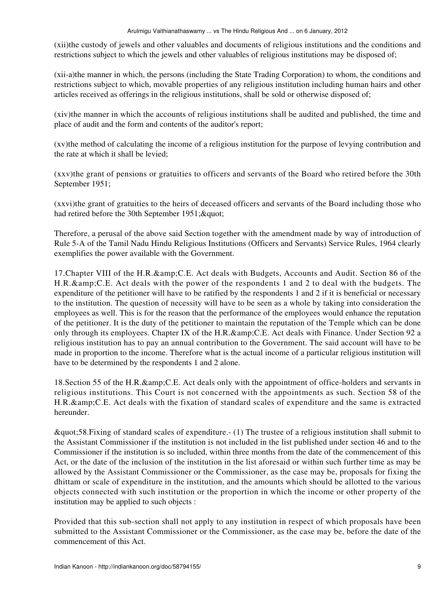(xii)the custody of jewels and other valuables and documents of religious institutions and the conditions and restrictions subject to which the jewels and other valuables of religious institutions may be disposed of;

(xii-a)the manner in which, the persons (including the State Trading Corporation) to whom, the conditions and restrictions subject to which, movable properties of any religious institution including human hairs and other articles received as offerings in the religious institutions, shall be sold or otherwise disposed of;

(xiv)the manner in which the accounts of religious institutions shall be audited and published, the time and place of audit and the form and contents of the auditor's report;

(xv)the method of calculating the income of a religious institution for the purpose of levying contribution and the rate at which it shall be levied;

(xxv)the grant of pensions or gratuities to officers and servants of the Board who retired before the 30th September 1951;

(xxvi)the grant of gratuities to the heirs of deceased officers and servants of the Board including those who had retired before the 30th September 1951; & quot;

Therefore, a perusal of the above said Section together with the amendment made by way of introduction of Rule 5-A of the Tamil Nadu Hindu Religious Institutions (Officers and Servants) Service Rules, 1964 clearly exemplifies the power available with the Government.

17. Chapter VIII of the H.R. & amp; C.E. Act deals with Budgets, Accounts and Audit. Section 86 of the H.R. & amp; C.E. Act deals with the power of the respondents 1 and 2 to deal with the budgets. The expenditure of the petitioner will have to be ratified by the respondents 1 and 2 if it is beneficial or necessary to the institution. The question of necessity will have to be seen as a whole by taking into consideration the employees as well. This is for the reason that the performance of the employees would enhance the reputation of the petitioner. It is the duty of the petitioner to maintain the reputation of the Temple which can be done only through its employees. Chapter IX of the H.R.& C.E. Act deals with Finance. Under Section 92 a religious institution has to pay an annual contribution to the Government. The said account will have to be made in proportion to the income. Therefore what is the actual income of a particular religious institution will have to be determined by the respondents 1 and 2 alone.

18. Section 55 of the H.R. & amp; C.E. Act deals only with the appointment of office-holders and servants in religious institutions. This Court is not concerned with the appointments as such. Section 58 of the H.R. & amp; C.E. Act deals with the fixation of standard scales of expenditure and the same is extracted hereunder.

"58.Fixing of standard scales of expenditure.- (1) The trustee of a religious institution shall submit to the Assistant Commissioner if the institution is not included in the list published under section 46 and to the Commissioner if the institution is so included, within three months from the date of the commencement of this Act, or the date of the inclusion of the institution in the list aforesaid or within such further time as may be allowed by the Assistant Commissioner or the Commissioner, as the case may be, proposals for fixing the dhittam or scale of expenditure in the institution, and the amounts which should be allotted to the various objects connected with such institution or the proportion in which the income or other property of the institution may be applied to such objects :

Provided that this sub-section shall not apply to any institution in respect of which proposals have been submitted to the Assistant Commissioner or the Commissioner, as the case may be, before the date of the commencement of this Act.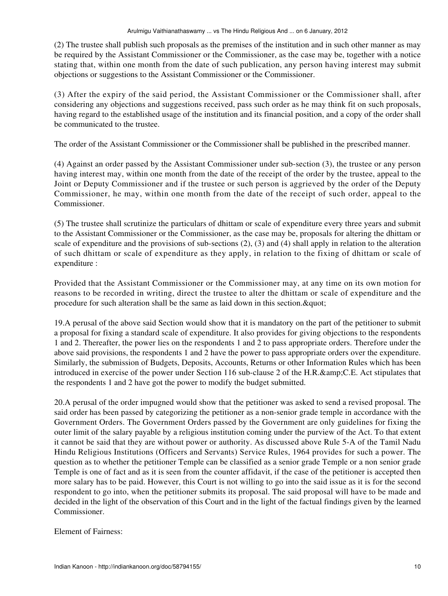(2) The trustee shall publish such proposals as the premises of the institution and in such other manner as may be required by the Assistant Commissioner or the Commissioner, as the case may be, together with a notice stating that, within one month from the date of such publication, any person having interest may submit objections or suggestions to the Assistant Commissioner or the Commissioner.

(3) After the expiry of the said period, the Assistant Commissioner or the Commissioner shall, after considering any objections and suggestions received, pass such order as he may think fit on such proposals, having regard to the established usage of the institution and its financial position, and a copy of the order shall be communicated to the trustee.

The order of the Assistant Commissioner or the Commissioner shall be published in the prescribed manner.

(4) Against an order passed by the Assistant Commissioner under sub-section (3), the trustee or any person having interest may, within one month from the date of the receipt of the order by the trustee, appeal to the Joint or Deputy Commissioner and if the trustee or such person is aggrieved by the order of the Deputy Commissioner, he may, within one month from the date of the receipt of such order, appeal to the Commissioner.

(5) The trustee shall scrutinize the particulars of dhittam or scale of expenditure every three years and submit to the Assistant Commissioner or the Commissioner, as the case may be, proposals for altering the dhittam or scale of expenditure and the provisions of sub-sections (2), (3) and (4) shall apply in relation to the alteration of such dhittam or scale of expenditure as they apply, in relation to the fixing of dhittam or scale of expenditure :

Provided that the Assistant Commissioner or the Commissioner may, at any time on its own motion for reasons to be recorded in writing, direct the trustee to alter the dhittam or scale of expenditure and the procedure for such alteration shall be the same as laid down in this section.  $\&$  quot;

19.A perusal of the above said Section would show that it is mandatory on the part of the petitioner to submit a proposal for fixing a standard scale of expenditure. It also provides for giving objections to the respondents 1 and 2. Thereafter, the power lies on the respondents 1 and 2 to pass appropriate orders. Therefore under the above said provisions, the respondents 1 and 2 have the power to pass appropriate orders over the expenditure. Similarly, the submission of Budgets, Deposits, Accounts, Returns or other Information Rules which has been introduced in exercise of the power under Section 116 sub-clause 2 of the H.R.&C.E. Act stipulates that the respondents 1 and 2 have got the power to modify the budget submitted.

20.A perusal of the order impugned would show that the petitioner was asked to send a revised proposal. The said order has been passed by categorizing the petitioner as a non-senior grade temple in accordance with the Government Orders. The Government Orders passed by the Government are only guidelines for fixing the outer limit of the salary payable by a religious institution coming under the purview of the Act. To that extent it cannot be said that they are without power or authority. As discussed above Rule 5-A of the Tamil Nadu Hindu Religious Institutions (Officers and Servants) Service Rules, 1964 provides for such a power. The question as to whether the petitioner Temple can be classified as a senior grade Temple or a non senior grade Temple is one of fact and as it is seen from the counter affidavit, if the case of the petitioner is accepted then more salary has to be paid. However, this Court is not willing to go into the said issue as it is for the second respondent to go into, when the petitioner submits its proposal. The said proposal will have to be made and decided in the light of the observation of this Court and in the light of the factual findings given by the learned Commissioner.

Element of Fairness: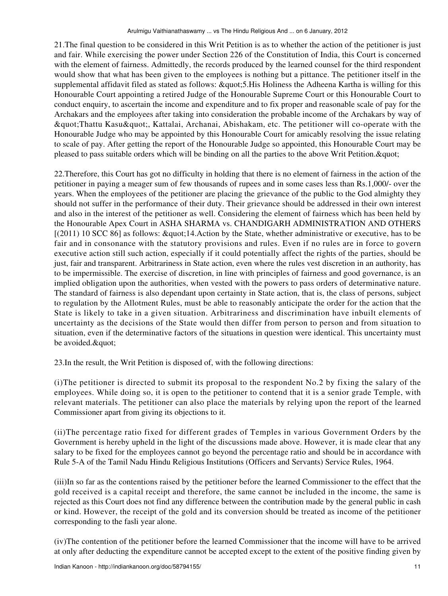21.The final question to be considered in this Writ Petition is as to whether the action of the petitioner is just and fair. While exercising the power under Section 226 of the Constitution of India, this Court is concerned with the element of fairness. Admittedly, the records produced by the learned counsel for the third respondent would show that what has been given to the employees is nothing but a pittance. The petitioner itself in the supplemental affidavit filed as stated as follows: "5.His Holiness the Adheena Kartha is willing for this Honourable Court appointing a retired Judge of the Honourable Supreme Court or this Honourable Court to conduct enquiry, to ascertain the income and expenditure and to fix proper and reasonable scale of pay for the Archakars and the employees after taking into consideration the probable income of the Archakars by way of  $&$ quot;Thattu Kasu", Kattalai, Archanai, Abishakam, etc. The petitioner will co-operate with the Honourable Judge who may be appointed by this Honourable Court for amicably resolving the issue relating to scale of pay. After getting the report of the Honourable Judge so appointed, this Honourable Court may be pleased to pass suitable orders which will be binding on all the parties to the above Writ Petition. & quot;

22.Therefore, this Court has got no difficulty in holding that there is no element of fairness in the action of the petitioner in paying a meager sum of few thousands of rupees and in some cases less than Rs.1,000/- over the years. When the employees of the petitioner are placing the grievance of the public to the God almighty they should not suffer in the performance of their duty. Their grievance should be addressed in their own interest and also in the interest of the petitioner as well. Considering the element of fairness which has been held by the Honourable Apex Court in ASHA SHARMA vs. CHANDIGARH ADMINISTRATION AND OTHERS  $[(2011) 10 \text{ SCC } 86]$  as follows:  $\&$ quot;14.Action by the State, whether administrative or executive, has to be fair and in consonance with the statutory provisions and rules. Even if no rules are in force to govern executive action still such action, especially if it could potentially affect the rights of the parties, should be just, fair and transparent. Arbitrariness in State action, even where the rules vest discretion in an authority, has to be impermissible. The exercise of discretion, in line with principles of fairness and good governance, is an implied obligation upon the authorities, when vested with the powers to pass orders of determinative nature. The standard of fairness is also dependant upon certainty in State action, that is, the class of persons, subject to regulation by the Allotment Rules, must be able to reasonably anticipate the order for the action that the State is likely to take in a given situation. Arbitrariness and discrimination have inbuilt elements of uncertainty as the decisions of the State would then differ from person to person and from situation to situation, even if the determinative factors of the situations in question were identical. This uncertainty must be avoided. & quot;

23.In the result, the Writ Petition is disposed of, with the following directions:

(i)The petitioner is directed to submit its proposal to the respondent No.2 by fixing the salary of the employees. While doing so, it is open to the petitioner to contend that it is a senior grade Temple, with relevant materials. The petitioner can also place the materials by relying upon the report of the learned Commissioner apart from giving its objections to it.

(ii)The percentage ratio fixed for different grades of Temples in various Government Orders by the Government is hereby upheld in the light of the discussions made above. However, it is made clear that any salary to be fixed for the employees cannot go beyond the percentage ratio and should be in accordance with Rule 5-A of the Tamil Nadu Hindu Religious Institutions (Officers and Servants) Service Rules, 1964.

(iii)In so far as the contentions raised by the petitioner before the learned Commissioner to the effect that the gold received is a capital receipt and therefore, the same cannot be included in the income, the same is rejected as this Court does not find any difference between the contribution made by the general public in cash or kind. However, the receipt of the gold and its conversion should be treated as income of the petitioner corresponding to the fasli year alone.

(iv)The contention of the petitioner before the learned Commissioner that the income will have to be arrived at only after deducting the expenditure cannot be accepted except to the extent of the positive finding given by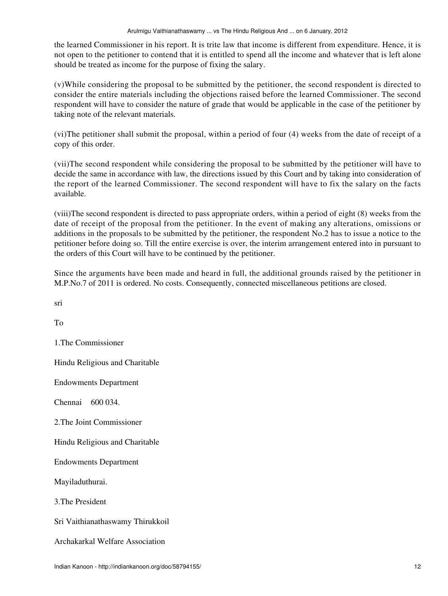the learned Commissioner in his report. It is trite law that income is different from expenditure. Hence, it is not open to the petitioner to contend that it is entitled to spend all the income and whatever that is left alone should be treated as income for the purpose of fixing the salary.

(v)While considering the proposal to be submitted by the petitioner, the second respondent is directed to consider the entire materials including the objections raised before the learned Commissioner. The second respondent will have to consider the nature of grade that would be applicable in the case of the petitioner by taking note of the relevant materials.

(vi)The petitioner shall submit the proposal, within a period of four (4) weeks from the date of receipt of a copy of this order.

(vii)The second respondent while considering the proposal to be submitted by the petitioner will have to decide the same in accordance with law, the directions issued by this Court and by taking into consideration of the report of the learned Commissioner. The second respondent will have to fix the salary on the facts available.

(viii)The second respondent is directed to pass appropriate orders, within a period of eight (8) weeks from the date of receipt of the proposal from the petitioner. In the event of making any alterations, omissions or additions in the proposals to be submitted by the petitioner, the respondent No.2 has to issue a notice to the petitioner before doing so. Till the entire exercise is over, the interim arrangement entered into in pursuant to the orders of this Court will have to be continued by the petitioner.

Since the arguments have been made and heard in full, the additional grounds raised by the petitioner in M.P.No.7 of 2011 is ordered. No costs. Consequently, connected miscellaneous petitions are closed.

sri

To

1.The Commissioner

Hindu Religious and Charitable

Endowments Department

Chennai 600 034.

2.The Joint Commissioner

Hindu Religious and Charitable

Endowments Department

Mayiladuthurai.

3.The President

Sri Vaithianathaswamy Thirukkoil

Archakarkal Welfare Association